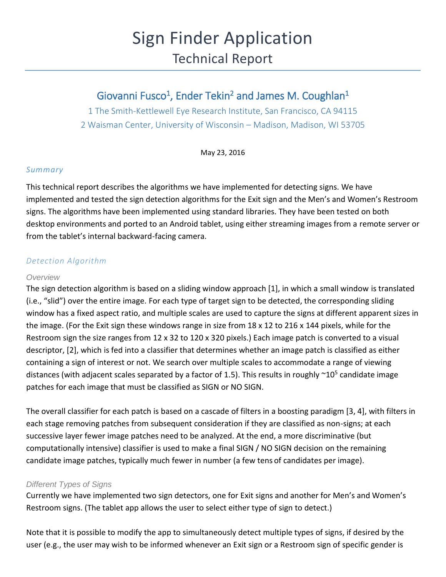# Sign Finder Application Technical Report

# Giovanni Fusco<sup>1</sup>, Ender Tekin<sup>2</sup> and James M. Coughlan<sup>1</sup>

1 The Smith-Kettlewell Eye Research Institute, San Francisco, CA 94115 2 Waisman Center, University of Wisconsin – Madison, Madison, WI 53705

May 23, 2016

#### *Summary*

This technical report describes the algorithms we have implemented for detecting signs. We have implemented and tested the sign detection algorithms for the Exit sign and the Men's and Women's Restroom signs. The algorithms have been implemented using standard libraries. They have been tested on both desktop environments and ported to an Android tablet, using either streaming images from a remote server or from the tablet's internal backward-facing camera.

## *Detection Algorithm*

#### *Overview*

The sign detection algorithm is based on a sliding window approach [1], in which a small window is translated (i.e., "slid") over the entire image. For each type of target sign to be detected, the corresponding sliding window has a fixed aspect ratio, and multiple scales are used to capture the signs at different apparent sizes in the image. (For the Exit sign these windows range in size from 18 x 12 to 216 x 144 pixels, while for the Restroom sign the size ranges from 12 x 32 to 120 x 320 pixels.) Each image patch is converted to a visual descriptor, [2], which is fed into a classifier that determines whether an image patch is classified as either containing a sign of interest or not. We search over multiple scales to accommodate a range of viewing distances (with adjacent scales separated by a factor of 1.5). This results in roughly  $\sim$ 10<sup>5</sup> candidate image patches for each image that must be classified as SIGN or NO SIGN.

The overall classifier for each patch is based on a cascade of filters in a boosting paradigm [3, 4], with filters in each stage removing patches from subsequent consideration if they are classified as non-signs; at each successive layer fewer image patches need to be analyzed. At the end, a more discriminative (but computationally intensive) classifier is used to make a final SIGN / NO SIGN decision on the remaining candidate image patches, typically much fewer in number (a few tens of candidates per image).

#### *Different Types of Signs*

Currently we have implemented two sign detectors, one for Exit signs and another for Men's and Women's Restroom signs. (The tablet app allows the user to select either type of sign to detect.)

Note that it is possible to modify the app to simultaneously detect multiple types of signs, if desired by the user (e.g., the user may wish to be informed whenever an Exit sign or a Restroom sign of specific gender is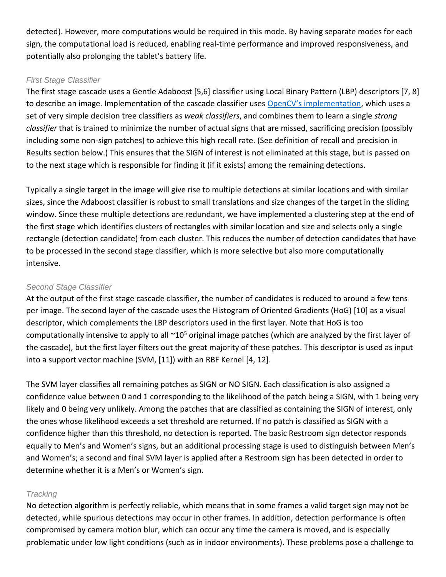detected). However, more computations would be required in this mode. By having separate modes for each sign, the computational load is reduced, enabling real-time performance and improved responsiveness, and potentially also prolonging the tablet's battery life.

### *First Stage Classifier*

The first stage cascade uses a Gentle Adaboost [5,6] classifier using Local Binary Pattern (LBP) descriptors [7, 8] to describe an image. Implementation of the cascade classifier uses [OpenCV's implementation](http://docs.opencv.org/modules/objdetect/doc/cascade_classification.html), which uses a set of very simple decision tree classifiers as *weak classifiers*, and combines them to learn a single *strong classifier* that is trained to minimize the number of actual signs that are missed, sacrificing precision (possibly including some non-sign patches) to achieve this high recall rate. (See definition of recall and precision in Results section below.) This ensures that the SIGN of interest is not eliminated at this stage, but is passed on to the next stage which is responsible for finding it (if it exists) among the remaining detections.

Typically a single target in the image will give rise to multiple detections at similar locations and with similar sizes, since the Adaboost classifier is robust to small translations and size changes of the target in the sliding window. Since these multiple detections are redundant, we have implemented a clustering step at the end of the first stage which identifies clusters of rectangles with similar location and size and selects only a single rectangle (detection candidate) from each cluster. This reduces the number of detection candidates that have to be processed in the second stage classifier, which is more selective but also more computationally intensive.

### *Second Stage Classifier*

At the output of the first stage cascade classifier, the number of candidates is reduced to around a few tens per image. The second layer of the cascade uses the Histogram of Oriented Gradients (HoG) [10] as a visual descriptor, which complements the LBP descriptors used in the first layer. Note that HoG is too computationally intensive to apply to all  $\sim 10^5$  original image patches (which are analyzed by the first layer of the cascade), but the first layer filters out the great majority of these patches. This descriptor is used as input into a support vector machine (SVM, [11]) with an RBF Kernel [4, 12].

The SVM layer classifies all remaining patches as SIGN or NO SIGN. Each classification is also assigned a confidence value between 0 and 1 corresponding to the likelihood of the patch being a SIGN, with 1 being very likely and 0 being very unlikely. Among the patches that are classified as containing the SIGN of interest, only the ones whose likelihood exceeds a set threshold are returned. If no patch is classified as SIGN with a confidence higher than this threshold, no detection is reported. The basic Restroom sign detector responds equally to Men's and Women's signs, but an additional processing stage is used to distinguish between Men's and Women's; a second and final SVM layer is applied after a Restroom sign has been detected in order to determine whether it is a Men's or Women's sign.

#### *Tracking*

No detection algorithm is perfectly reliable, which means that in some frames a valid target sign may not be detected, while spurious detections may occur in other frames. In addition, detection performance is often compromised by camera motion blur, which can occur any time the camera is moved, and is especially problematic under low light conditions (such as in indoor environments). These problems pose a challenge to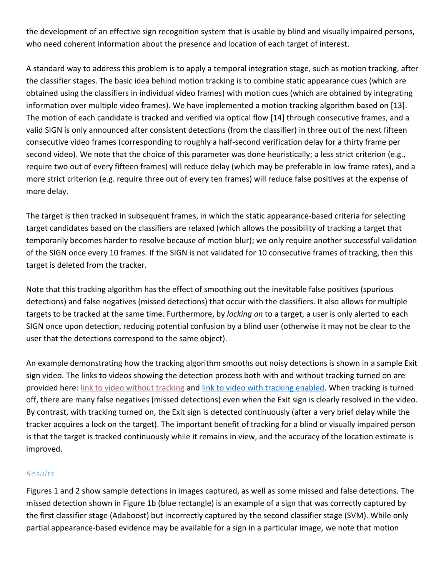the development of an effective sign recognition system that is usable by blind and visually impaired persons, who need coherent information about the presence and location of each target of interest.

A standard way to address this problem is to apply a temporal integration stage, such as motion tracking, after the classifier stages. The basic idea behind motion tracking is to combine static appearance cues (which are obtained using the classifiers in individual video frames) with motion cues (which are obtained by integrating information over multiple video frames). We have implemented a motion tracking algorithm based on [13]. The motion of each candidate is tracked and verified via optical flow [14] through consecutive frames, and a valid SIGN is only announced after consistent detections (from the classifier) in three out of the next fifteen consecutive video frames (corresponding to roughly a half-second verification delay for a thirty frame per second video). We note that the choice of this parameter was done heuristically; a less strict criterion (e.g., require two out of every fifteen frames) will reduce delay (which may be preferable in low frame rates), and a more strict criterion (e.g. require three out of every ten frames) will reduce false positives at the expense of more delay.

The target is then tracked in subsequent frames, in which the static appearance-based criteria for selecting target candidates based on the classifiers are relaxed (which allows the possibility of tracking a target that temporarily becomes harder to resolve because of motion blur); we only require another successful validation of the SIGN once every 10 frames. If the SIGN is not validated for 10 consecutive frames of tracking, then this target is deleted from the tracker.

Note that this tracking algorithm has the effect of smoothing out the inevitable false positives (spurious detections) and false negatives (missed detections) that occur with the classifiers. It also allows for multiple targets to be tracked at the same time. Furthermore, by *locking on* to a target, a user is only alerted to each SIGN once upon detection, reducing potential confusion by a blind user (otherwise it may not be clear to the user that the detections correspond to the same object).

An example demonstrating how the tracking algorithm smooths out noisy detections is shown in a sample Exit sign video. The links to videos showing the detection process both with and without tracking turned on are provided here: [link to video without tracking](https://drive.google.com/file/d/0B6cn_6COedlmNFZjeVlKRkhWS2s/view?usp=sharing) and [link to video with tracking enabled.](https://drive.google.com/file/d/0B6cn_6COedlmY3ZoT2k5Smw2WTQ/view?usp=drivesdk) When tracking is turned off, there are many false negatives (missed detections) even when the Exit sign is clearly resolved in the video. By contrast, with tracking turned on, the Exit sign is detected continuously (after a very brief delay while the tracker acquires a lock on the target). The important benefit of tracking for a blind or visually impaired person is that the target is tracked continuously while it remains in view, and the accuracy of the location estimate is improved.

#### *Results*

Figures 1 and 2 show sample detections in images captured, as well as some missed and false detections. The missed detection shown in Figure 1b (blue rectangle) is an example of a sign that was correctly captured by the first classifier stage (Adaboost) but incorrectly captured by the second classifier stage (SVM). While only partial appearance-based evidence may be available for a sign in a particular image, we note that motion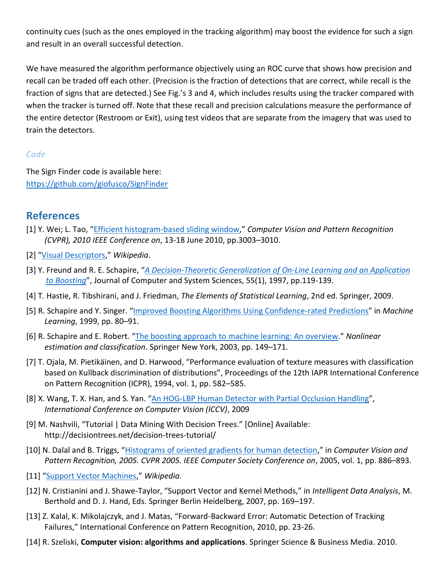continuity cues (such as the ones employed in the tracking algorithm) may boost the evidence for such a sign and result in an overall successful detection.

We have measured the algorithm performance objectively using an ROC curve that shows how precision and recall can be traded off each other. (Precision is the fraction of detections that are correct, while recall is the fraction of signs that are detected.) See Fig.'s 3 and 4, which includes results using the tracker compared with when the tracker is turned off. Note that these recall and precision calculations measure the performance of the entire detector (Restroom or Exit), using test videos that are separate from the imagery that was used to train the detectors.

## *Code*

The Sign Finder code is available here: <https://github.com/giofusco/SignFinder>

# **References**

- [1] Y. Wei; L. Tao, "[Efficient histogram-based sliding window](http://www.msr-waypoint.net/en-us/people/yichenw/cvpr10_ehsw.pdf)," *Computer Vision and Pattern Recognition (CVPR), 2010 IEEE Conference on*, 13-18 June 2010, pp.3003–3010.
- [2] "[Visual Descriptors](https://en.wikipedia.org/wiki/Visual_descriptors)," *Wikipedia*.
- [3] Y. Freund and R. E. Schapire, "*[A Decision-Theoretic Generalization of On-Line Learning and an Application](http://www.cis.upenn.edu/~mkearns/teaching/COLT/adaboost.pdf)  [to Boosting](http://www.cis.upenn.edu/~mkearns/teaching/COLT/adaboost.pdf)*", Journal of Computer and System Sciences, 55(1), 1997, pp.119-139.
- [4] T. Hastie, R. Tibshirani, and J. Friedman, *The Elements of Statistical Learning*, 2nd ed. Springer, 2009.
- [5] R. Schapire and Y. Singer. "[Improved Boosting Algorithms Using Confidence-rated Predictions](http://citeseerx.ist.psu.edu/viewdoc/download?doi=10.1.1.37.3950&rep=rep1&type=pdf)" in *Machine Learning*, 1999, pp. 80–91.
- [6] R. Schapire and E. Robert. "The boosting approach to [machine learning: An overview](https://www.cs.princeton.edu/courses/archive/spring07/cos424/papers/boosting-survey.pdf)." *Nonlinear estimation and classification*. Springer New York, 2003, pp. 149–171.
- [7] T. Ojala, M. Pietikäinen, and D. Harwood, "Performance evaluation of texture measures with classification based on Kullback discrimination of distributions", Proceedings of the 12th IAPR International Conference on Pattern Recognition (ICPR), 1994, vol. 1, pp. 582–585.
- [8] X. Wang, T. X. Han, and S. Yan. "[An HOG-LBP Human Detector with Partial Occlusion Handling](http://www.xiaoyumu.com/s/PDF/Wang_Han_Yan_iccv09.pdf)", *International Conference on Computer Vision (ICCV)*, 2009
- [9] M. Nashvili, "Tutorial | Data Mining With Decision Trees." [Online] Available: http://decisiontrees.net/decision-trees-tutorial/
- [10] N. Dalal and B. Triggs, "[Histograms of oriented gradients for human detection](http://people.csail.mit.edu/torralba/courses/6.870/papers/hog_cvpr2005.pdf)," in *Computer Vision and Pattern Recognition, 2005. CVPR 2005. IEEE Computer Society Conference on*, 2005, vol. 1, pp. 886–893.
- [11] "[Support Vector Machines](https://en.wikipedia.org/wiki/Support_vector_machine)," *Wikipedia*.
- [12] N. Cristianini and J. Shawe-Taylor, "Support Vector and Kernel Methods," in *Intelligent Data Analysis*, M. Berthold and D. J. Hand, Eds. Springer Berlin Heidelberg, 2007, pp. 169–197.
- [13] Z. Kalal, K. Mikolajczyk, and J. Matas, "Forward-Backward Error: Automatic Detection of Tracking Failures," International Conference on Pattern Recognition, 2010, pp. 23-26.
- [14] R. Szeliski, **Computer vision: algorithms and applications**. Springer Science & Business Media. 2010.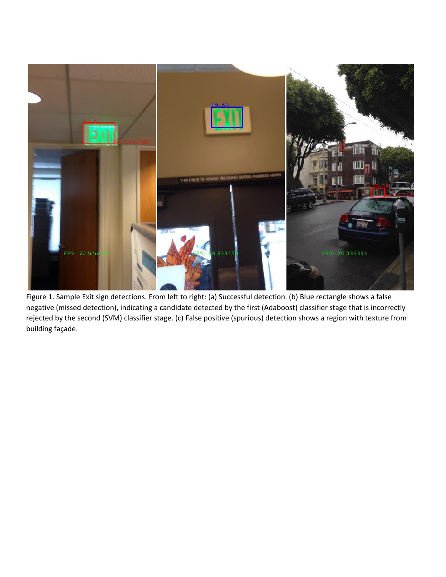

Figure 1. Sample Exit sign detections. From left to right: (a) Successful detection. (b) Blue rectangle shows a false negative (missed detection), indicating a candidate detected by the first (Adaboost) classifier stage that is incorrectly rejected by the second (SVM) classifier stage. (c) False positive (spurious) detection shows a region with texture from building façade.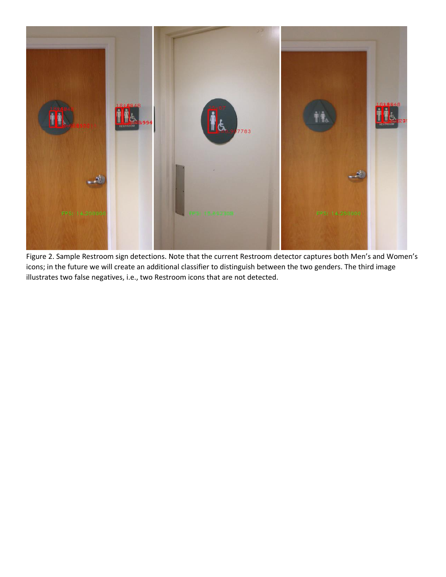

Figure 2. Sample Restroom sign detections. Note that the current Restroom detector captures both Men's and Women's icons; in the future we will create an additional classifier to distinguish between the two genders. The third image illustrates two false negatives, i.e., two Restroom icons that are not detected.